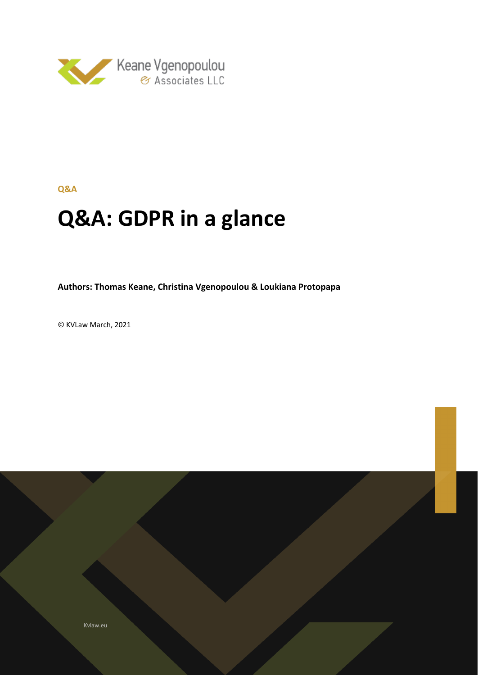

# **Q&A**

# **Q&A: GDPR in a glance**

**Authors: Thomas Keane, Christina Vgenopoulou & Loukiana Protopapa**

© KVLaw March, 2021

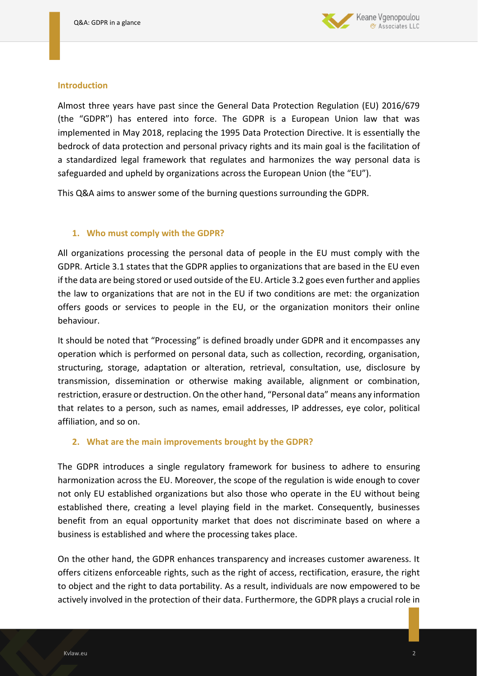

#### **Introduction**

Almost three years have past since the General Data Protection Regulation (EU) 2016/679 (the "GDPR") has entered into force. The GDPR is a European Union law that was implemented in May 2018, replacing the 1995 Data Protection Directive. It is essentially the bedrock of data protection and personal privacy rights and its main goal is the facilitation of a standardized legal framework that regulates and harmonizes the way personal data is safeguarded and upheld by organizations across the European Union (the "EU").

This Q&A aims to answer some of the burning questions surrounding the GDPR.

# **1. Who must comply with the GDPR?**

All organizations processing the personal data of people in the EU must comply with the GDPR. Article 3.1 states that the GDPR applies to organizations that are based in the EU even if the data are being stored or used outside of the EU. Article 3.2 goes even further and applies the law to organizations that are not in the EU if two conditions are met: the organization offers goods or services to people in the EU, or the organization monitors their online behaviour.

It should be noted that "Processing" is defined broadly under GDPR and it encompasses any operation which is performed on personal data, such as collection, recording, organisation, structuring, storage, adaptation or alteration, retrieval, consultation, use, disclosure by transmission, dissemination or otherwise making available, alignment or combination, restriction, erasure or destruction. On the other hand, "Personal data" means any information that relates to a person, such as names, email addresses, IP addresses, eye color, political affiliation, and so on.

# **2. What are the main improvements brought by the GDPR?**

The GDPR introduces a single regulatory framework for business to adhere to ensuring harmonization across the EU. Moreover, the scope of the regulation is wide enough to cover not only EU established organizations but also those who operate in the EU without being established there, creating a level playing field in the market. Consequently, businesses benefit from an equal opportunity market that does not discriminate based on where a business is established and where the processing takes place.

On the other hand, the GDPR enhances transparency and increases customer awareness. It offers citizens enforceable rights, such as the right of access, rectification, erasure, the right to object and the right to data portability. As a result, individuals are now empowered to be actively involved in the protection of their data. Furthermore, the GDPR plays a crucial role in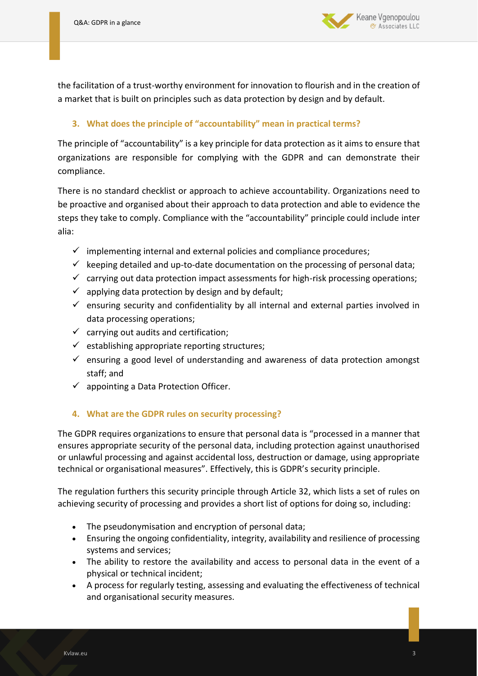

the facilitation of a trust-worthy environment for innovation to flourish and in the creation of a market that is built on principles such as data protection by design and by default.

# **3. What does the principle of "accountability" mean in practical terms?**

The principle of "accountability" is a key principle for data protection as it aims to ensure that organizations are responsible for complying with the GDPR and can demonstrate their compliance.

There is no standard checklist or approach to achieve accountability. Organizations need to be proactive and organised about their approach to data protection and able to evidence the steps they take to comply. Compliance with the "accountability" principle could include inter alia:

- $\checkmark$  implementing internal and external policies and compliance procedures;
- $\checkmark$  keeping detailed and up-to-date documentation on the processing of personal data;
- $\checkmark$  carrying out data protection impact assessments for high-risk processing operations;
- $\checkmark$  applying data protection by design and by default;
- $\checkmark$  ensuring security and confidentiality by all internal and external parties involved in data processing operations;
- $\checkmark$  carrying out audits and certification;
- $\checkmark$  establishing appropriate reporting structures;
- $\checkmark$  ensuring a good level of understanding and awareness of data protection amongst staff; and
- $\checkmark$  appointing a Data Protection Officer.

# **4. What are the GDPR rules on security processing?**

The GDPR requires organizations to ensure that personal data is "processed in a manner that ensures appropriate security of the personal data, including protection against unauthorised or unlawful processing and against accidental loss, destruction or damage, using appropriate technical or organisational measures". Effectively, this is GDPR's security principle.

The regulation furthers this security principle through Article 32, which lists a set of rules on achieving security of processing and provides a short list of options for doing so, including:

- The pseudonymisation and encryption of personal data;
- Ensuring the ongoing confidentiality, integrity, availability and resilience of processing systems and services;
- The ability to restore the availability and access to personal data in the event of a physical or technical incident;
- A process for regularly testing, assessing and evaluating the effectiveness of technical and organisational security measures.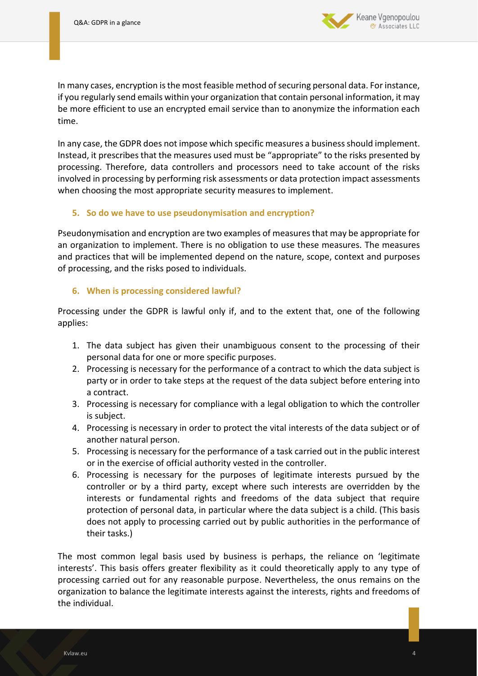

In many cases, encryption is the most feasible method of securing personal data. For instance, if you regularly send emails within your organization that contain personal information, it may be more efficient to use an [encrypted email service](https://protonmail.com/) than to anonymize the information each time.

In any case, the GDPR does not impose which specific measures a business should implement. Instead, it prescribes that the measures used must be "appropriate" to the risks presented by processing. Therefore, data controllers and processors need to take account of the risks involved in processing by performing risk assessments or data protection impact assessments when choosing the most appropriate security measures to implement.

# **5. So do we have to use pseudonymisation and encryption?**

Pseudonymisation and encryption are two examples of measures that may be appropriate for an organization to implement. There is no obligation to use these measures. The measures and practices that will be implemented depend on the nature, scope, context and purposes of processing, and the risks posed to individuals.

# **6. When is processing considered lawful?**

Processing under the GDPR is lawful only if, and to the extent that, one of the following applies:

- 1. The data subject has given their unambiguous consent to the processing of their personal data for one or more specific purposes.
- 2. Processing is necessary for the performance of a contract to which the data subject is party or in order to take steps at the request of the data subject before entering into a contract.
- 3. Processing is necessary for compliance with a legal obligation to which the controller is subject.
- 4. Processing is necessary in order to protect the vital interests of the data subject or of another natural person.
- 5. Processing is necessary for the performance of a task carried out in the public interest or in the exercise of official authority vested in the controller.
- 6. Processing is necessary for the purposes of legitimate interests pursued by the controller or by a third party, except where such interests are overridden by the interests or fundamental rights and freedoms of the data subject that require protection of personal data, in particular where the data subject is a child. (This basis does not apply to processing carried out by public authorities in the performance of their tasks.)

The most common legal basis used by business is perhaps, the reliance on 'legitimate interests'. This basis offers greater flexibility as it could theoretically apply to any type of processing carried out for any reasonable purpose. Nevertheless, the onus remains on the organization to balance the legitimate interests against the interests, rights and freedoms of the individual.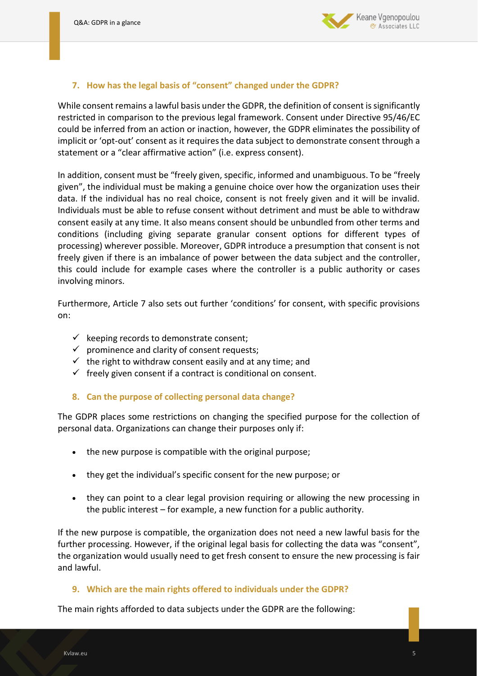

# **7. How has the legal basis of "consent" changed under the GDPR?**

While consent remains a lawful basis under the GDPR, the definition of consent is significantly restricted in comparison to the previous legal framework. Consent under Directive 95/46/EC could be inferred from an action or inaction, however, the GDPR eliminates the possibility of implicit or 'opt-out' consent as it requires the data subject to demonstrate consent through a statement or a "clear affirmative action" (i.e. express consent).

In addition, consent must be "freely given, specific, informed and unambiguous. To be "freely given", the individual must be making a genuine choice over how the organization uses their data. If the individual has no real choice, consent is not freely given and it will be invalid. Individuals must be able to refuse consent without detriment and must be able to withdraw consent easily at any time. It also means consent should be unbundled from other terms and conditions (including giving separate granular consent options for different types of processing) wherever possible. Moreover, GDPR introduce a presumption that consent is not freely given if there is an imbalance of power between the data subject and the controller, this could include for example cases where the controller is a public authority or cases involving minors.

Furthermore, Article 7 also sets out further 'conditions' for consent, with specific provisions on:

- $\checkmark$  keeping records to demonstrate consent;
- $\checkmark$  prominence and clarity of consent requests;
- $\checkmark$  the right to withdraw consent easily and at any time; and
- $\checkmark$  freely given consent if a contract is conditional on consent.

# **8. Can the purpose of collecting personal data change?**

The GDPR places some restrictions on changing the specified purpose for the collection of personal data. Organizations can change their purposes only if:

- the new purpose is compatible with the original purpose;
- they get the individual's specific consent for the new purpose; or
- they can point to a clear legal provision requiring or allowing the new processing in the public interest – for example, a new function for a public authority.

If the new purpose is compatible, the organization does not need a new lawful basis for the further processing. However, if the original legal basis for collecting the data was "consent", the organization would usually need to get fresh consent to ensure the new processing is fair and lawful.

# **9. Which are the main rights offered to individuals under the GDPR?**

The main rights afforded to data subjects under the GDPR are the following: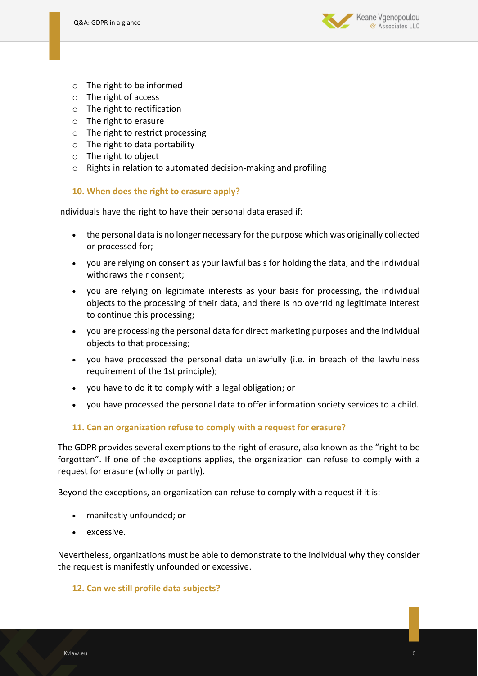

- o The right to be informed
- o The right of access
- o The right to rectification
- o The right to erasure
- o The right to restrict processing
- $\circ$  The right to data portability
- o The right to object
- o Rights in relation to automated decision-making and profiling

#### **10. When does the right to erasure apply?**

Individuals have the right to have their personal data erased if:

- the personal data is no longer necessary for the purpose which was originally collected or processed for;
- you are relying on consent as your lawful basis for holding the data, and the individual withdraws their consent;
- you are relying on legitimate interests as your basis for processing, the individual objects to the processing of their data, and there is no overriding legitimate interest to continue this processing;
- you are processing the personal data for direct marketing purposes and the individual objects to that processing;
- you have processed the personal data unlawfully (i.e. in breach of the lawfulness requirement of the 1st principle);
- you have to do it to comply with a legal obligation; or
- you have processed the personal data to offer information society services to a child.

# **11. Can an organization refuse to comply with a request for erasure?**

The GDPR provides several exemptions to the right of erasure, also known as the "right to be forgotten". If one of the exceptions applies, the organization can refuse to comply with a request for erasure (wholly or partly).

Beyond the exceptions, an organization can refuse to comply with a request if it is:

- manifestly unfounded; or
- excessive.

Nevertheless, organizations must be able to demonstrate to the individual why they consider the request is manifestly unfounded or excessive.

# **12. Can we still profile data subjects?**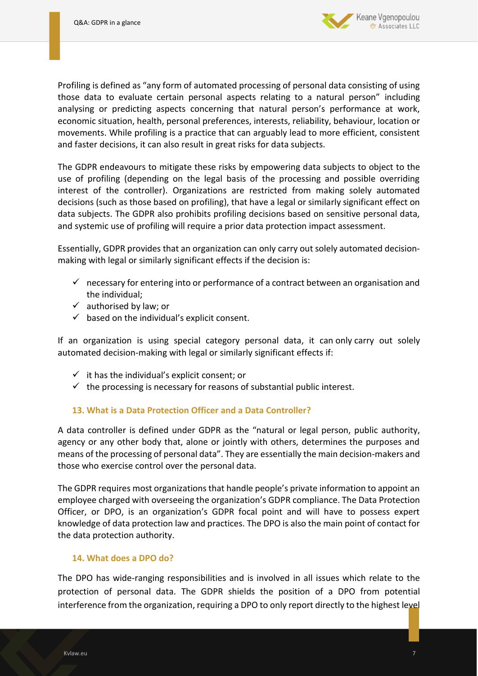

Profiling is defined as "any form of automated processing of personal data consisting of using those data to evaluate certain personal aspects relating to a natural person" including analysing or predicting aspects concerning that natural person's performance at work, economic situation, health, personal preferences, interests, reliability, behaviour, location or movements. While profiling is a practice that can arguably lead to more efficient, consistent and faster decisions, it can also result in great risks for data subjects.

The GDPR endeavours to mitigate these risks by empowering data subjects to object to the use of profiling (depending on the legal basis of the processing and possible overriding interest of the controller). Organizations are restricted from making solely automated decisions (such as those based on profiling), that have a legal or similarly significant effect on data subjects. The GDPR also prohibits profiling decisions based on sensitive personal data, and systemic use of profiling will require a prior data protection impact assessment.

Essentially, GDPR provides that an organization can only carry out solely automated decisionmaking with legal or similarly significant effects if the decision is:

- $\checkmark$  necessary for entering into or performance of a contract between an organisation and the individual;
- $\checkmark$  authorised by law; or
- $\checkmark$  based on the individual's explicit consent.

If an organization is using special category personal data, it can only carry out solely automated decision-making with legal or similarly significant effects if:

- $\checkmark$  it has the individual's explicit consent; or
- $\checkmark$  the processing is necessary for reasons of substantial public interest.

# **13. What is a Data Protection Officer and a Data Controller?**

A data controller is defined under GDPR as the "natural or legal person, public authority, agency or any other body that, alone or jointly with others, determines the purposes and means of the processing of personal data". They are essentially the main decision-makers and those who exercise control over the personal data.

The GDPR requires most organizations that handle people's private information to appoint an employee charged with overseeing the organization's GDPR compliance. The Data Protection Officer, or DPO, is an organization's GDPR focal point and will have to possess expert knowledge of data protection law and practices. The DPO is also the main point of contact for the data protection authority.

# **14. What does a DPO do?**

The DPO has wide-ranging responsibilities and is involved in all issues which relate to the protection of personal data. The GDPR shields the position of a DPO from potential interference from the organization, requiring a DPO to only report directly to the highest level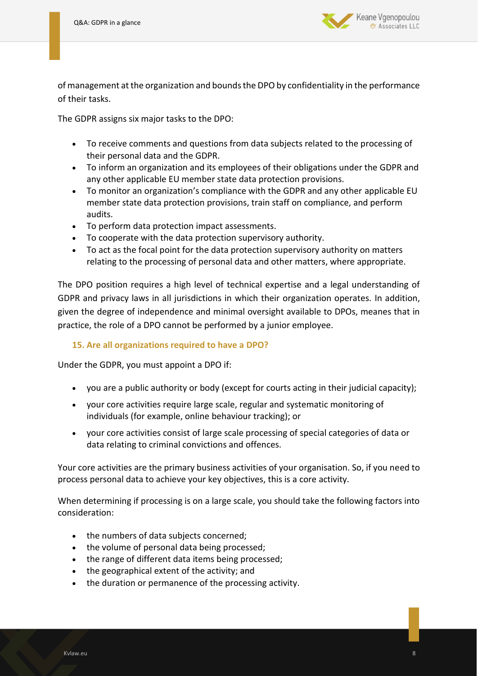

of management at the organization and bounds the DPO by confidentiality in the performance of their tasks.

The GDPR assigns six major tasks to the DPO:

- To receive comments and questions from data subjects related to the processing of their personal data and the GDPR.
- To inform an organization and its employees of their obligations under the GDPR and any other applicable EU member state data protection provisions.
- To monitor an organization's compliance with the GDPR and any other applicable EU member state data protection provisions, train staff on compliance, and perform audits.
- To perform data protection impact assessments.
- To cooperate with the data protection supervisory authority.
- To act as the focal point for the data protection supervisory authority on matters relating to the processing of personal data and other matters, where appropriate.

The DPO position requires a high level of technical expertise and a legal understanding of GDPR and privacy laws in all jurisdictions in which their organization operates. In addition, given the degree of independence and minimal oversight available to DPOs, meanes that in practice, the role of a DPO cannot be performed by a junior employee.

# **15. Are all organizations required to have a DPO?**

Under the GDPR, you must appoint a DPO if:

- you are a public authority or body (except for courts acting in their judicial capacity);
- your core activities require large scale, regular and systematic monitoring of individuals (for example, online behaviour tracking); or
- your core activities consist of large scale processing of special categories of data or data relating to criminal convictions and offences.

Your core activities are the primary business activities of your organisation. So, if you need to process personal data to achieve your key objectives, this is a core activity.

When determining if processing is on a large scale, you should take the following factors into consideration:

- the numbers of data subjects concerned;
- the volume of personal data being processed;
- the range of different data items being processed;
- the geographical extent of the activity; and
- the duration or permanence of the processing activity.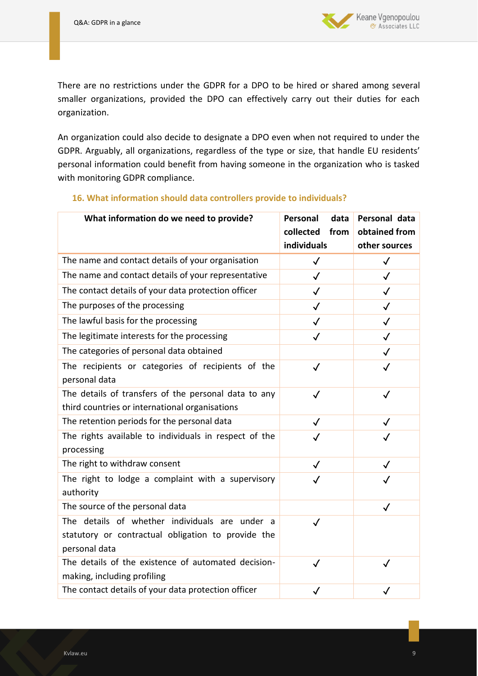

There are no restrictions under the GDPR for a DPO to be hired or shared among several smaller organizations, provided the DPO can effectively carry out their duties for each organization.

An organization could also decide to designate a DPO even when not required to under the GDPR. Arguably, all organizations, regardless of the type or size, that handle EU residents' personal information could benefit from having someone in the organization who is tasked with monitoring GDPR compliance.

| What information do we need to provide?                             | Personal<br>data<br>collected<br>from | Personal data<br>obtained from |
|---------------------------------------------------------------------|---------------------------------------|--------------------------------|
|                                                                     | individuals                           | other sources                  |
| The name and contact details of your organisation                   | $\checkmark$                          | $\checkmark$                   |
| The name and contact details of your representative                 | $\checkmark$                          | $\checkmark$                   |
| The contact details of your data protection officer                 | $\checkmark$                          | $\checkmark$                   |
| The purposes of the processing                                      | $\checkmark$                          | $\checkmark$                   |
| The lawful basis for the processing                                 | $\checkmark$                          | $\checkmark$                   |
| The legitimate interests for the processing                         | $\checkmark$                          | $\checkmark$                   |
| The categories of personal data obtained                            |                                       | $\checkmark$                   |
| The recipients or categories of recipients of the                   | $\checkmark$                          | $\checkmark$                   |
| personal data                                                       |                                       |                                |
| The details of transfers of the personal data to any                | $\checkmark$                          | $\checkmark$                   |
| third countries or international organisations                      |                                       |                                |
| The retention periods for the personal data                         | $\checkmark$                          | $\checkmark$                   |
| The rights available to individuals in respect of the<br>processing | $\checkmark$                          | √                              |
| The right to withdraw consent                                       | $\checkmark$                          | $\checkmark$                   |
| The right to lodge a complaint with a supervisory<br>authority      | $\checkmark$                          | $\checkmark$                   |
| The source of the personal data                                     |                                       | $\checkmark$                   |
| The details of whether individuals are under a                      | $\checkmark$                          |                                |
| statutory or contractual obligation to provide the                  |                                       |                                |
| personal data                                                       |                                       |                                |
| The details of the existence of automated decision-                 | $\checkmark$                          | $\checkmark$                   |
| making, including profiling                                         |                                       |                                |
| The contact details of your data protection officer                 | $\checkmark$                          |                                |

# **16. What information should data controllers provide to individuals?**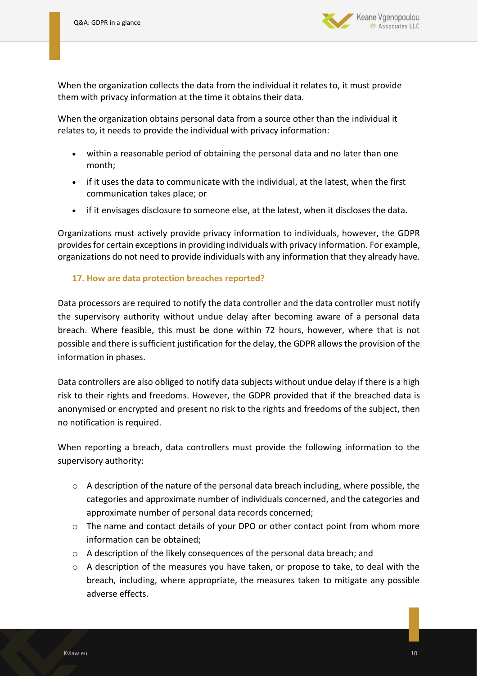

When the organization collects the data from the individual it relates to, it must provide them with privacy information at the time it obtains their data.

When the organization obtains personal data from a source other than the individual it relates to, it needs to provide the individual with privacy information:

- within a reasonable period of obtaining the personal data and no later than one month;
- if it uses the data to communicate with the individual, at the latest, when the first communication takes place; or
- if it envisages disclosure to someone else, at the latest, when it discloses the data.

Organizations must actively provide privacy information to individuals, however, the GDPR provides for certain exceptions in providing individuals with privacy information. For example, organizations do not need to provide individuals with any information that they already have.

# **17. How are data protection breaches reported?**

Data processors are required to notify the data controller and the data controller must notify the supervisory authority without undue delay after becoming aware of a personal data breach. Where feasible, this must be done within 72 hours, however, where that is not possible and there is sufficient justification for the delay, the GDPR allows the provision of the information in phases.

Data controllers are also obliged to notify data subjects without undue delay if there is a high risk to their rights and freedoms. However, the GDPR provided that if the breached data is anonymised or encrypted and present no risk to the rights and freedoms of the subject, then no notification is required.

When reporting a breach, data controllers must provide the following information to the supervisory authority:

- $\circ$  A description of the nature of the personal data breach including, where possible, the categories and approximate number of individuals concerned, and the categories and approximate number of personal data records concerned;
- o The name and contact details of your DPO or other contact point from whom more information can be obtained;
- o A description of the likely consequences of the personal data breach; and
- $\circ$  A description of the measures you have taken, or propose to take, to deal with the breach, including, where appropriate, the measures taken to mitigate any possible adverse effects.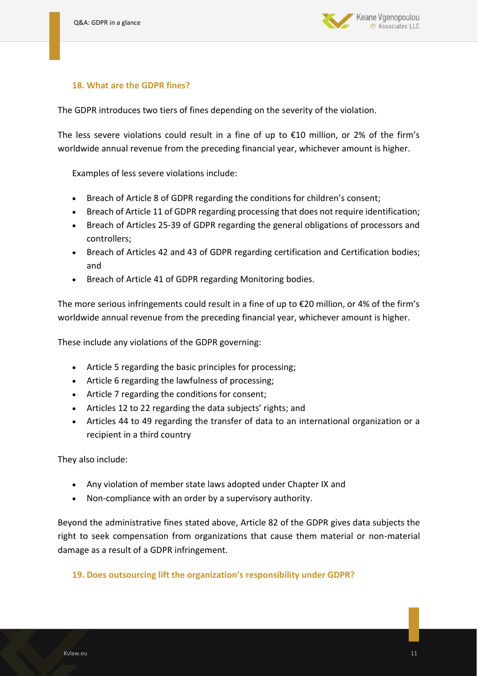

# **18. What are the GDPR fines?**

The GDPR introduces two tiers of fines depending on the severity of the violation.

The less severe violations could result in a fine of up to  $£10$  million, or 2% of the firm's worldwide annual revenue from the preceding financial year, whichever amount is higher.

Examples of less severe violations include:

- Breach of Article 8 of GDPR regarding the conditions for children's consent;
- Breach of Article 11 of GDPR regarding processing that does not require identification;
- Breach of Articles 25-39 of GDPR regarding the general obligations of processors and controllers;
- Breach of Articles 42 and 43 of GDPR regarding certification and Certification bodies; and
- Breach of Article 41 of GDPR regarding Monitoring bodies.

The more serious infringements could result in a fine of up to  $\epsilon$ 20 million, or 4% of the firm's worldwide annual revenue from the preceding financial year, whichever amount is higher.

These include any violations of the GDPR governing:

- Article 5 regarding the basic principles for processing;
- Article 6 regarding the lawfulness of processing;
- Article 7 regarding the conditions for consent;
- Articles 12 to 22 regarding the data subjects' rights; and
- Articles 44 to 49 regarding the transfer of data to an international organization or a recipient in a third country

They also include:

- Any violation of member state laws adopted under Chapter IX and
- Non-compliance with an order by a supervisory authority.

Beyond the administrative fines stated above, Article 82 of the GDPR gives data subjects the right to seek compensation from organizations that cause them material or non-material damage as a result of a GDPR infringement.

**19. Does outsourcing lift the organization's responsibility under GDPR?**